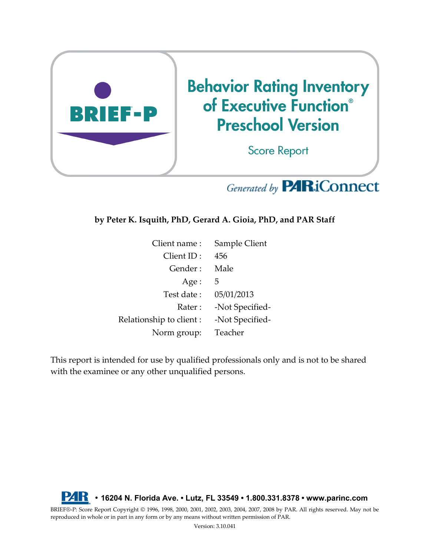

# Generated by **PARiConnect**

**by Peter K. Isquith, PhD, Gerard A. Gioia, PhD, and PAR Staff**

| Client name:             | Sample Client   |
|--------------------------|-----------------|
| Client ID:               | 456             |
| Gender:                  | Male            |
| Age:                     | 5               |
| Test date:               | 05/01/2013      |
| Rater:                   | -Not Specified- |
| Relationship to client : | -Not Specified- |
| Norm group:              | Teacher         |

This report is intended for use by qualified professionals only and is not to be shared with the examinee or any other unqualified persons.



BRIEF®-P: Score Report Copyright © 1996, 1998, 2000, 2001, 2002, 2003, 2004, 2007, 2008 by PAR. All rights reserved. May not be reproduced in whole or in part in any form or by any means without written permission of PAR.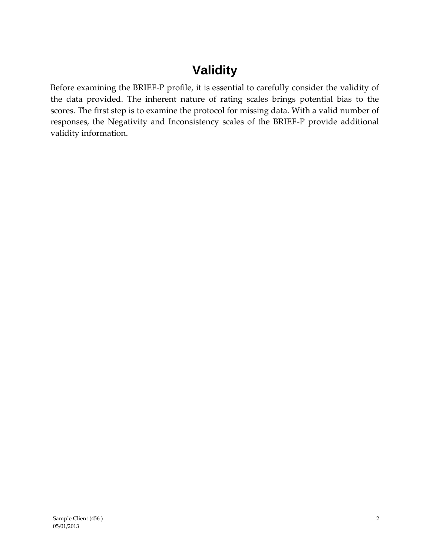# **Validity**

Before examining the BRIEF-P profile, it is essential to carefully consider the validity of the data provided. The inherent nature of rating scales brings potential bias to the scores. The first step is to examine the protocol for missing data. With a valid number of responses, the Negativity and Inconsistency scales of the BRIEF-P provide additional validity information.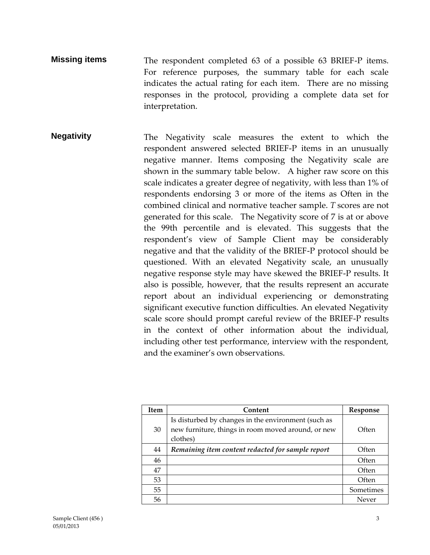- **Missing items** The respondent completed 63 of a possible 63 BRIEF-P items. For reference purposes, the summary table for each scale indicates the actual rating for each item. There are no missing responses in the protocol, providing a complete data set for interpretation.
- **Negativity** The Negativity scale measures the extent to which the respondent answered selected BRIEF-P items in an unusually negative manner. Items composing the Negativity scale are shown in the summary table below. A higher raw score on this scale indicates a greater degree of negativity, with less than 1% of respondents endorsing 3 or more of the items as Often in the combined clinical and normative teacher sample. *T* scores are not generated for this scale. The Negativity score of 7 is at or above the 99th percentile and is elevated. This suggests that the respondent's view of Sample Client may be considerably negative and that the validity of the BRIEF-P protocol should be questioned. With an elevated Negativity scale, an unusually negative response style may have skewed the BRIEF-P results. It also is possible, however, that the results represent an accurate report about an individual experiencing or demonstrating significant executive function difficulties. An elevated Negativity scale score should prompt careful review of the BRIEF-P results in the context of other information about the individual, including other test performance, interview with the respondent, and the examiner's own observations.

| Item | Content                                             | Response  |
|------|-----------------------------------------------------|-----------|
|      | Is disturbed by changes in the environment (such as |           |
| 30   | new furniture, things in room moved around, or new  | Often     |
|      | clothes)                                            |           |
| 44   | Remaining item content redacted for sample report   | Often     |
| 46   |                                                     | Often     |
| 47   |                                                     | Often     |
| 53   |                                                     | Often     |
| 55   |                                                     | Sometimes |
| 56   |                                                     | Never     |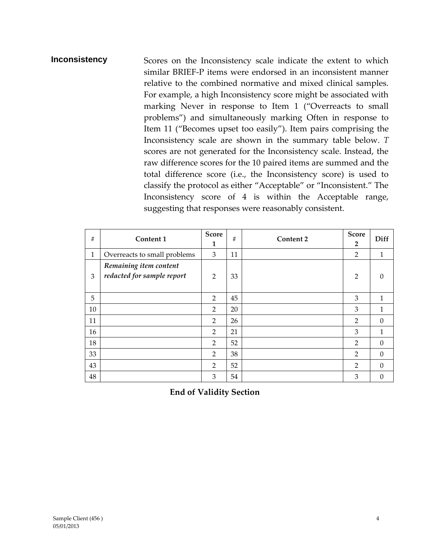#### **Inconsistency** Scores on the Inconsistency scale indicate the extent to which similar BRIEF-P items were endorsed in an inconsistent manner relative to the combined normative and mixed clinical samples. For example, a high Inconsistency score might be associated with marking Never in response to Item 1 ("Overreacts to small problems") and simultaneously marking Often in response to Item 11 ("Becomes upset too easily"). Item pairs comprising the Inconsistency scale are shown in the summary table below. *T*  scores are not generated for the Inconsistency scale. Instead, the raw difference scores for the 10 paired items are summed and the total difference score (i.e., the Inconsistency score) is used to classify the protocol as either "Acceptable" or "Inconsistent." The Inconsistency score of 4 is within the Acceptable range, suggesting that responses were reasonably consistent.

| $\#$         | Content 1                                            | <b>Score</b><br>1 | $\#$ | <b>Content 2</b> | <b>Score</b><br>$\overline{2}$ | Diff     |
|--------------|------------------------------------------------------|-------------------|------|------------------|--------------------------------|----------|
| $\mathbf{1}$ | Overreacts to small problems                         | 3                 | 11   |                  | $\overline{2}$                 | 1        |
| 3            | Remaining item content<br>redacted for sample report | $\overline{2}$    | 33   |                  | 2                              | $\Omega$ |
| 5            |                                                      | 2                 | 45   |                  | 3                              | 1        |
| 10           |                                                      | $\overline{2}$    | 20   |                  | 3                              | 1        |
| 11           |                                                      | $\overline{2}$    | 26   |                  | $\overline{2}$                 | $\theta$ |
| 16           |                                                      | $\overline{2}$    | 21   |                  | 3                              | 1        |
| 18           |                                                      | 2                 | 52   |                  | 2                              | $\theta$ |
| 33           |                                                      | $\overline{2}$    | 38   |                  | $\overline{2}$                 | $\theta$ |
| 43           |                                                      | $\overline{2}$    | 52   |                  | 2                              | $\theta$ |
| 48           |                                                      | 3                 | 54   |                  | 3                              | $\Omega$ |

**End of Validity Section**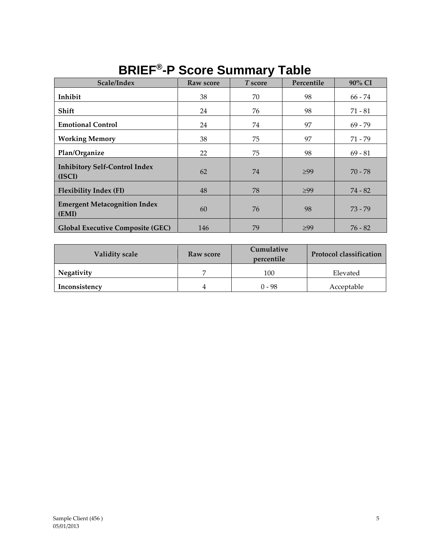| Scale/Index                                    | Raw score | ▰<br>T score | Percentile | 90% CI    |
|------------------------------------------------|-----------|--------------|------------|-----------|
| Inhibit                                        | 38        | 70           | 98         | 66 - 74   |
| Shift                                          | 24        | 76           | 98         | $71 - 81$ |
| <b>Emotional Control</b>                       | 24        | 74           | 97         | $69 - 79$ |
| <b>Working Memory</b>                          | 38        | 75           | 97         | 71 - 79   |
| Plan/Organize                                  | 22        | 75           | 98         | $69 - 81$ |
| <b>Inhibitory Self-Control Index</b><br>(ISCI) | 62        | 74           | $\geq 99$  | $70 - 78$ |
| <b>Flexibility Index (FI)</b>                  | 48        | 78           | $\geq 99$  | $74 - 82$ |
| <b>Emergent Metacognition Index</b><br>(EMI)   | 60        | 76           | 98         | $73 - 79$ |
| <b>Global Executive Composite (GEC)</b>        | 146       | 79           | $\geq 99$  | $76 - 82$ |

## **BRIEF® -P Score Summary Table**

| <b>Validity scale</b> | Raw score | Cumulative<br>percentile | <b>Protocol classification</b> |  |
|-----------------------|-----------|--------------------------|--------------------------------|--|
| Negativity            |           | 100                      | Elevated                       |  |
| Inconsistency         |           | ი - 98                   | Acceptable                     |  |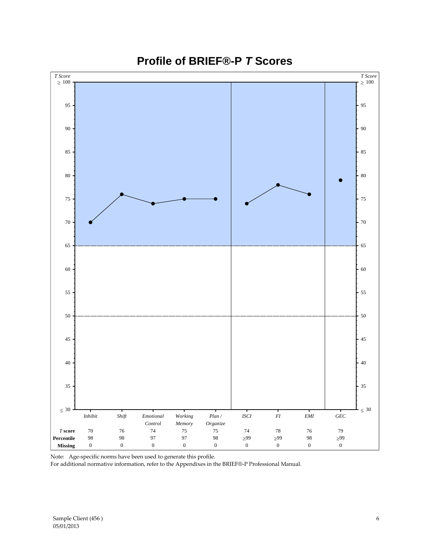

### **Profile of BRIEF®-P** *T* **Scores**

Note: Age-specific norms have been used to generate this profile.

For additional normative information, refer to the Appendixes in the BRIEF®-P Professional Manual.